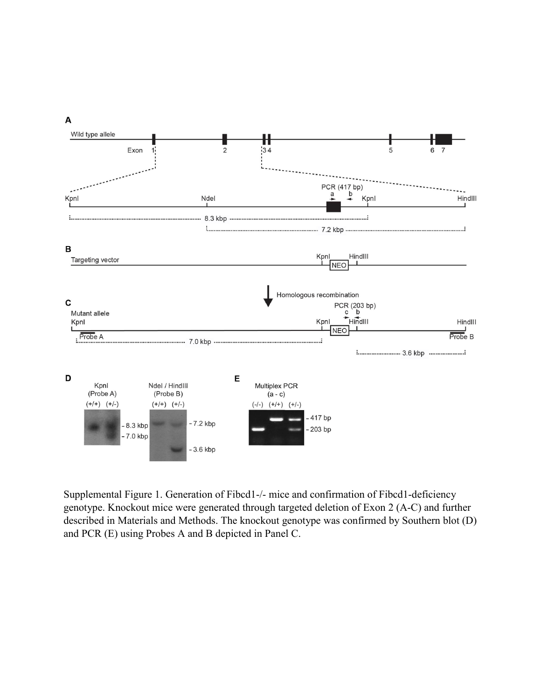

Supplemental Figure 1. Generation of Fibcd1-/- mice and confirmation of Fibcd1-deficiency genotype. Knockout mice were generated through targeted deletion of Exon 2 (A-C) and further described in Materials and Methods. The knockout genotype was confirmed by Southern blot (D) and PCR (E) using Probes A and B depicted in Panel C.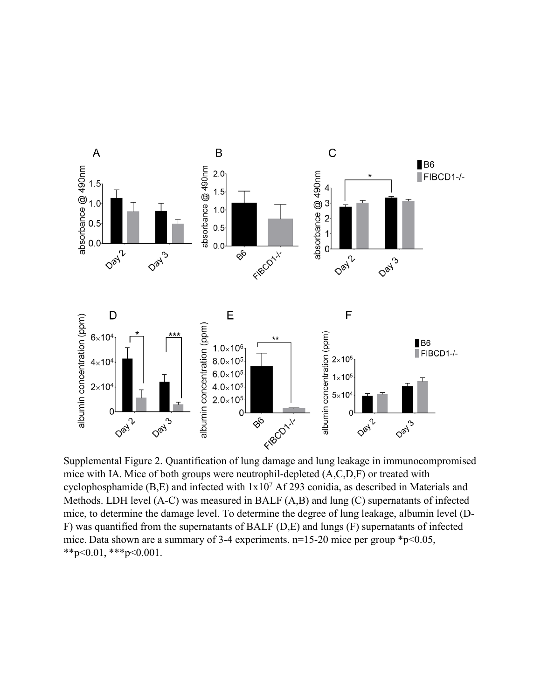

mice with IA. Mice of both groups were neutrophil-depleted (A,C,D,F) or treated with cyclophosphamide (B,E) and infected with  $1x10^7$  Af 293 conidia, as described in Materials and Methods. LDH level (A-C) was measured in BALF (A,B) and lung (C) supernatants of infected mice, to determine the damage level. To determine the degree of lung leakage, albumin level (D-F) was quantified from the supernatants of BALF (D,E) and lungs (F) supernatants of infected mice. Data shown are a summary of 3-4 experiments.  $n=15-20$  mice per group  $*p<0.05$ , \*\*p<0.01, \*\*\*p<0.001.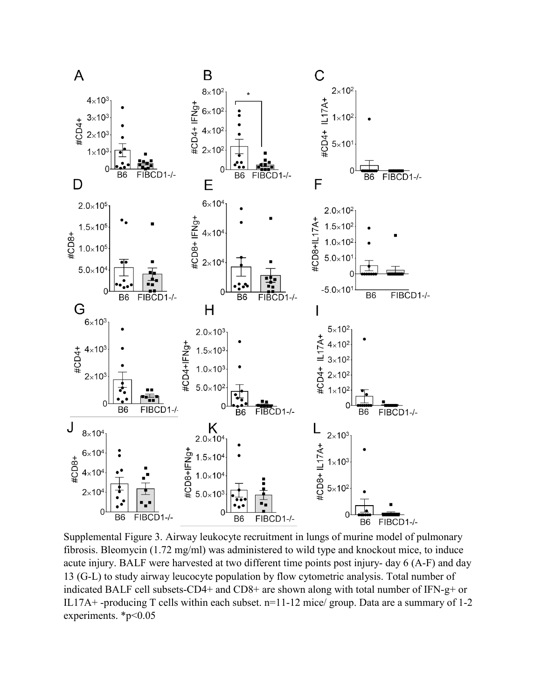

Supplemental Figure 3. Airway leukocyte recruitment in lungs of murine model of pulmonary fibrosis. Bleomycin (1.72 mg/ml) was administered to wild type and knockout mice, to induce acute injury. BALF were harvested at two different time points post injury- day 6 (A-F) and day 13 (G-L) to study airway leucocyte population by flow cytometric analysis. Total number of indicated BALF cell subsets-CD4+ and CD8+ are shown along with total number of IFN-g+ or IL17A+ -producing T cells within each subset. n=11-12 mice/ group. Data are a summary of 1-2 experiments. \*p<0.05